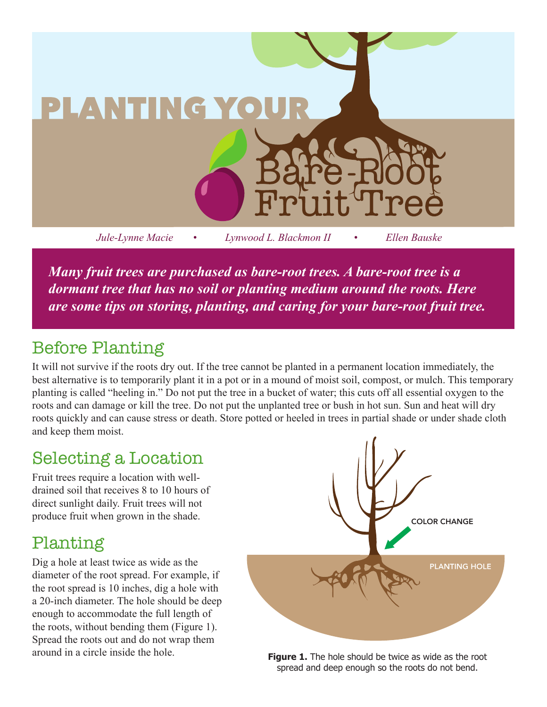

*Many fruit trees are purchased as bare-root trees. A bare-root tree is a dormant tree that has no soil or planting medium around the roots. Here are some tips on storing, planting, and caring for your bare-root fruit tree.* 

# Before Planting

It will not survive if the roots dry out. If the tree cannot be planted in a permanent location immediately, the best alternative is to temporarily plant it in a pot or in a mound of moist soil, compost, or mulch. This temporary planting is called "heeling in." Do not put the tree in a bucket of water; this cuts off all essential oxygen to the roots and can damage or kill the tree. Do not put the unplanted tree or bush in hot sun. Sun and heat will dry roots quickly and can cause stress or death. Store potted or heeled in trees in partial shade or under shade cloth and keep them moist.

# Selecting a Location

Fruit trees require a location with welldrained soil that receives 8 to 10 hours of direct sunlight daily. Fruit trees will not produce fruit when grown in the shade.

# Planting

Dig a hole at least twice as wide as the diameter of the root spread. For example, if the root spread is 10 inches, dig a hole with a 20-inch diameter. The hole should be deep enough to accommodate the full length of the roots, without bending them (Figure 1). Spread the roots out and do not wrap them around in a circle inside the hole.



**Figure 1.** The hole should be twice as wide as the root spread and deep enough so the roots do not bend.